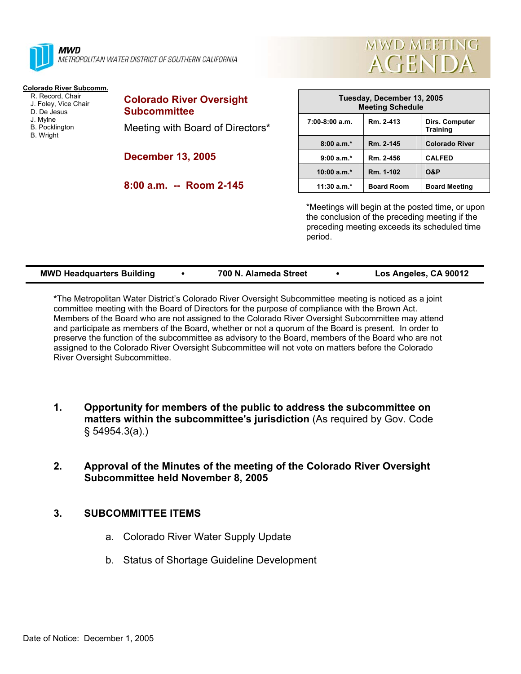

**MWD** METROPOLITAN WATER DISTRICT OF SOUTHERN CALIFORNIA

## **Colorado River Subcomm.**

- R. Record, Chair J. Foley, Vice Chair D. De Jesus J. Mylne B. Pocklington
- B. Wright

**Colorado River Oversight Subcommittee**  Meeting with Board of Directors\*

**December 13, 2005** 

**8:00 a.m. -- Room 2-145** 

| Tuesday, December 13, 2005<br><b>Meeting Schedule</b> |                   |                                   |
|-------------------------------------------------------|-------------------|-----------------------------------|
| $7:00-8:00$ a.m.                                      | Rm. 2-413         | Dirs. Computer<br><b>Training</b> |
| $8:00a.m.*$                                           | Rm. 2-145         | <b>Colorado River</b>             |
| $9:00 a.m.*$                                          | Rm. 2-456         | <b>CALFED</b>                     |
| $10:00 a.m.*$                                         | Rm. 1-102         | <b>O&amp;P</b>                    |
| $11:30$ a.m.*                                         | <b>Board Room</b> | <b>Board Meeting</b>              |

**MWD MEETING** 

**AGENDA** 

\*Meetings will begin at the posted time, or upon the conclusion of the preceding meeting if the preceding meeting exceeds its scheduled time period.

| Los Angeles, CA 90012<br><b>MWD Headquarters Building</b><br>700 N. Alameda Street |  |
|------------------------------------------------------------------------------------|--|
|------------------------------------------------------------------------------------|--|

**\***The Metropolitan Water District's Colorado River Oversight Subcommittee meeting is noticed as a joint committee meeting with the Board of Directors for the purpose of compliance with the Brown Act. Members of the Board who are not assigned to the Colorado River Oversight Subcommittee may attend and participate as members of the Board, whether or not a quorum of the Board is present. In order to preserve the function of the subcommittee as advisory to the Board, members of the Board who are not assigned to the Colorado River Oversight Subcommittee will not vote on matters before the Colorado River Oversight Subcommittee.

- **1. Opportunity for members of the public to address the subcommittee on matters within the subcommittee's jurisdiction** (As required by Gov. Code § 54954.3(a).)
- **2. Approval of the Minutes of the meeting of the Colorado River Oversight Subcommittee held November 8, 2005**

## **3. SUBCOMMITTEE ITEMS**

- a. Colorado River Water Supply Update
- b. Status of Shortage Guideline Development